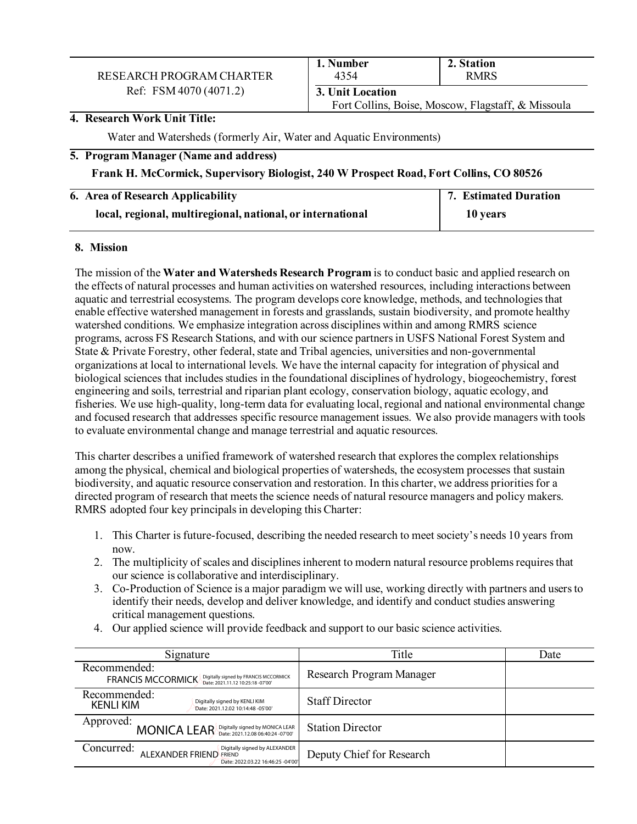# RESEARCH PROGRAM CHARTER Ref: FSM 4070 (4071.2) **3. Unit Location**

# **1. Number 2. Station 2. Station 2. Station** Fort Collins, Boise, Moscow, Flagstaff, & Missoula

**4. Research Work Unit Title:** 

Water and Watersheds (formerly Air, Water and Aquatic Environments)

#### **5. Program Manager (Name and address)**

#### **Frank H. McCormick, Supervisory Biologist, 240 W Prospect Road, Fort Collins, CO 80526**

| 6. Area of Research Applicability                          | 7. Estimated Duration |
|------------------------------------------------------------|-----------------------|
| local, regional, multiregional, national, or international | 10 years              |

#### **8. Mission**

The mission of the **Water and Watersheds Research Program** is to conduct basic and applied research on the effects of natural processes and human activities on watershed resources, including interactions between aquatic and terrestrial ecosystems. The program develops core knowledge, methods, and technologies that enable effective watershed management in forests and grasslands, sustain biodiversity, and promote healthy watershed conditions. We emphasize integration across disciplines within and among RMRS science programs, across FS Research Stations, and with our science partners in USFS National Forest System and State & Private Forestry, other federal, state and Tribal agencies, universities and non-governmental organizations at local to international levels. We have the internal capacity for integration of physical and biological sciences that includes studies in the foundational disciplines of hydrology, biogeochemistry, forest engineering and soils, terrestrial and riparian plant ecology, conservation biology, aquatic ecology, and fisheries. We use high-quality, long-term data for evaluating local, regional and national environmental change and focused research that addresses specific resource management issues. We also provide managers with tools to evaluate environmental change and manage terrestrial and aquatic resources.

This charter describes a unified framework of watershed research that explores the complex relationships among the physical, chemical and biological properties of watersheds, the ecosystem processes that sustain biodiversity, and aquatic resource conservation and restoration. In this charter, we address priorities for a directed program of research that meets the science needs of natural resource managers and policy makers. RMRS adopted four key principals in developing this Charter:

- 1. This Charter isfuture-focused, describing the needed research to meet society's needs 10 years from now.
- 2. The multiplicity of scales and disciplines inherent to modern natural resource problems requires that our science is collaborative and interdisciplinary.
- 3. Co-Production of Science is a major paradigm we will use, working directly with partners and users to identify their needs, develop and deliver knowledge, and identify and conduct studies answering critical management questions.
- 4. Our applied science will provide feedback and support to our basic science activities.

| Signature                                                                                                   | Title                     | Date |
|-------------------------------------------------------------------------------------------------------------|---------------------------|------|
| Recommended:<br>FRANCIS MCCORMICK Digitally signed by FRANCIS MCCORMICK                                     | Research Program Manager  |      |
| Recommended:<br>Digitally signed by KENLI KIM<br><b>KENLI KIM</b><br>Date: 2021.12.02 10:14:48 -05'00'      | <b>Staff Director</b>     |      |
| Approved:<br>MONICA LEAR Digitally signed by MONICA LEAR                                                    | <b>Station Director</b>   |      |
| Concurred:<br>Digitally signed by ALEXANDER<br>ALEXANDER FRIEND FRIEND<br>Date: 2022.03.22 16:46:25 -04'00' | Deputy Chief for Research |      |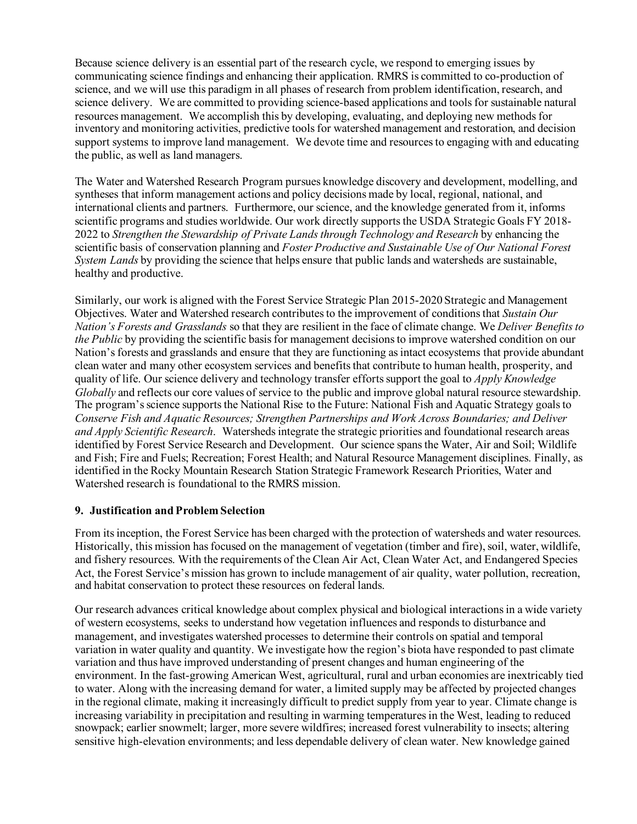Because science delivery is an essential part of the research cycle, we respond to emerging issues by communicating science findings and enhancing their application. RMRS is committed to co-production of science, and we will use this paradigm in all phases of research from problem identification, research, and science delivery. We are committed to providing science-based applications and tools for sustainable natural resources management. We accomplish this by developing, evaluating, and deploying new methods for inventory and monitoring activities, predictive tools for watershed management and restoration, and decision support systems to improve land management. We devote time and resources to engaging with and educating the public, as well as land managers.

The Water and Watershed Research Program pursues knowledge discovery and development, modelling, and syntheses that inform management actions and policy decisions made by local, regional, national, and international clients and partners. Furthermore, our science, and the knowledge generated from it, informs scientific programs and studies worldwide. Our work directly supports the USDA Strategic Goals FY 2018- 2022 to *Strengthen the Stewardship of Private Lands through Technology and Research* by enhancing the scientific basis of conservation planning and *Foster Productive and Sustainable Use of Our National Forest System Lands* by providing the science that helps ensure that public lands and watersheds are sustainable, healthy and productive.

Similarly, our work is aligned with the Forest Service Strategic Plan 2015-2020 Strategic and Management Objectives. Water and Watershed research contributes to the improvement of conditions that *Sustain Our Nation's Forests and Grasslands* so that they are resilient in the face of climate change. We *Deliver Benefits to the Public* by providing the scientific basis for management decisions to improve watershed condition on our Nation's forests and grasslands and ensure that they are functioning as intact ecosystems that provide abundant clean water and many other ecosystem services and benefits that contribute to human health, prosperity, and quality of life. Our science delivery and technology transfer efforts support the goal to *Apply Knowledge Globally* and reflects our core values of service to the public and improve global natural resource stewardship. The program's science supports the National Rise to the Future: National Fish and Aquatic Strategy goals to *Conserve Fish and Aquatic Resources; Strengthen Partnerships and Work Across Boundaries; and Deliver and Apply Scientific Research*. Watersheds integrate the strategic priorities and foundational research areas identified by Forest Service Research and Development. Our science spans the Water, Air and Soil; Wildlife and Fish; Fire and Fuels; Recreation; Forest Health; and Natural Resource Management disciplines. Finally, as identified in the Rocky Mountain Research Station Strategic Framework Research Priorities, Water and Watershed research is foundational to the RMRS mission.

# **9. Justification and Problem Selection**

From its inception, the Forest Service has been charged with the protection of watersheds and water resources. Historically, this mission has focused on the management of vegetation (timber and fire), soil, water, wildlife, and fishery resources. With the requirements of the Clean Air Act, Clean Water Act, and Endangered Species Act, the Forest Service's mission has grown to include management of air quality, water pollution, recreation, and habitat conservation to protect these resources on federal lands.

Our research advances critical knowledge about complex physical and biological interactions in a wide variety of western ecosystems, seeks to understand how vegetation influences and responds to disturbance and management, and investigates watershed processes to determine their controls on spatial and temporal variation in water quality and quantity. We investigate how the region's biota have responded to past climate variation and thus have improved understanding of present changes and human engineering of the environment. In the fast-growing American West, agricultural, rural and urban economies are inextricably tied to water. Along with the increasing demand for water, a limited supply may be affected by projected changes in the regional climate, making it increasingly difficult to predict supply from year to year. Climate change is increasing variability in precipitation and resulting in warming temperatures in the West, leading to reduced snowpack; earlier snowmelt; larger, more severe wildfires; increased forest vulnerability to insects; altering sensitive high-elevation environments; and less dependable delivery of clean water. New knowledge gained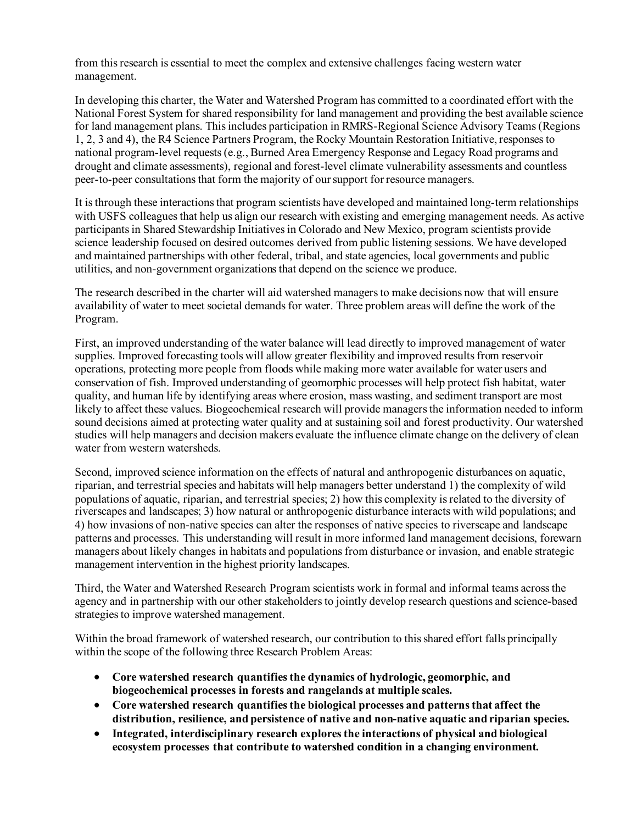from this research is essential to meet the complex and extensive challenges facing western water management.

In developing this charter, the Water and Watershed Program has committed to a coordinated effort with the National Forest System for shared responsibility for land management and providing the best available science for land management plans. This includes participation in RMRS-Regional Science Advisory Teams (Regions 1, 2, 3 and 4), the R4 Science Partners Program, the Rocky Mountain Restoration Initiative, responses to national program-level requests (e.g., Burned Area Emergency Response and Legacy Road programs and drought and climate assessments), regional and forest-level climate vulnerability assessments and countless peer-to-peer consultations that form the majority of our support for resource managers.

It is through these interactions that program scientists have developed and maintained long-term relationships with USFS colleagues that help us align our research with existing and emerging management needs. As active participants in Shared Stewardship Initiatives in Colorado and New Mexico, program scientists provide science leadership focused on desired outcomes derived from public listening sessions. We have developed and maintained partnerships with other federal, tribal, and state agencies, local governments and public utilities, and non-government organizations that depend on the science we produce.

The research described in the charter will aid watershed managers to make decisions now that will ensure availability of water to meet societal demands for water. Three problem areas will define the work of the Program.

First, an improved understanding of the water balance will lead directly to improved management of water supplies. Improved forecasting tools will allow greater flexibility and improved results from reservoir operations, protecting more people from floods while making more water available for water users and conservation of fish. Improved understanding of geomorphic processes will help protect fish habitat, water quality, and human life by identifying areas where erosion, mass wasting, and sediment transport are most likely to affect these values. Biogeochemical research will provide managers the information needed to inform sound decisions aimed at protecting water quality and at sustaining soil and forest productivity. Our watershed studies will help managers and decision makers evaluate the influence climate change on the delivery of clean water from western watersheds.

Second, improved science information on the effects of natural and anthropogenic disturbances on aquatic, riparian, and terrestrial species and habitats will help managers better understand 1) the complexity of wild populations of aquatic, riparian, and terrestrial species; 2) how this complexity is related to the diversity of riverscapes and landscapes; 3) how natural or anthropogenic disturbance interacts with wild populations; and 4) how invasions of non-native species can alter the responses of native species to riverscape and landscape patterns and processes. This understanding will result in more informed land management decisions, forewarn managers about likely changes in habitats and populations from disturbance or invasion, and enable strategic management intervention in the highest priority landscapes.

Third, the Water and Watershed Research Program scientists work in formal and informal teams across the agency and in partnership with our other stakeholders to jointly develop research questions and science-based strategies to improve watershed management.

Within the broad framework of watershed research, our contribution to this shared effort falls principally within the scope of the following three Research Problem Areas:

- **Core watershed research quantifies the dynamics of hydrologic, geomorphic, and biogeochemical processes in forests and rangelands at multiple scales.**
- **Core watershed research quantifies the biological processes and patterns that affect the distribution, resilience, and persistence of native and non-native aquatic and riparian species.**
- **Integrated, interdisciplinary research explores the interactions of physical and biological ecosystem processes that contribute to watershed condition in a changing environment.**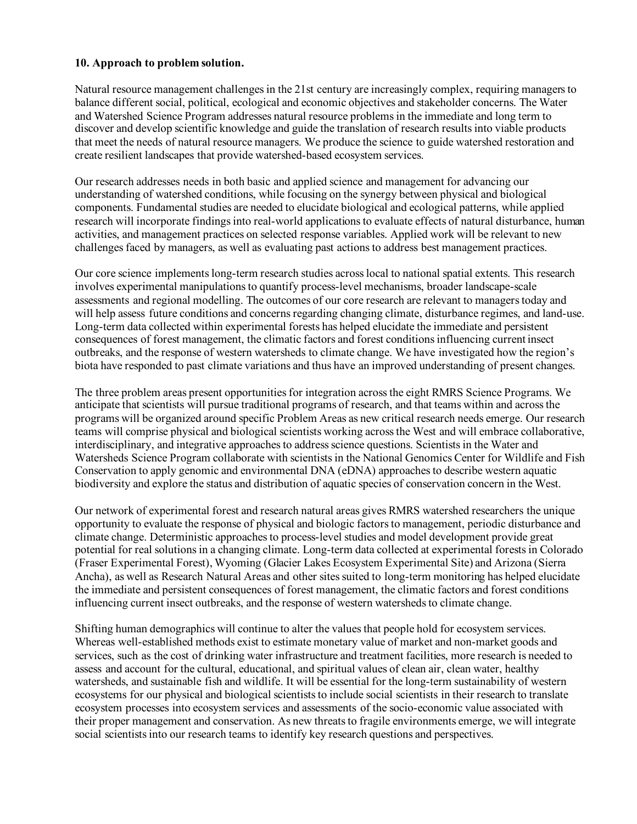#### **10. Approach to problem solution.**

Natural resource management challenges in the 21st century are increasingly complex, requiring managers to balance different social, political, ecological and economic objectives and stakeholder concerns. The Water and Watershed Science Program addresses natural resource problems in the immediate and long term to discover and develop scientific knowledge and guide the translation of research results into viable products that meet the needs of natural resource managers. We produce the science to guide watershed restoration and create resilient landscapes that provide watershed-based ecosystem services.

Our research addresses needs in both basic and applied science and management for advancing our understanding of watershed conditions, while focusing on the synergy between physical and biological components. Fundamental studies are needed to elucidate biological and ecological patterns, while applied research will incorporate findings into real-world applications to evaluate effects of natural disturbance, human activities, and management practices on selected response variables. Applied work will be relevant to new challenges faced by managers, as well as evaluating past actions to address best management practices.

Our core science implements long-term research studies across local to national spatial extents. This research involves experimental manipulations to quantify process-level mechanisms, broader landscape-scale assessments and regional modelling. The outcomes of our core research are relevant to managers today and will help assess future conditions and concerns regarding changing climate, disturbance regimes, and land-use. Long-term data collected within experimental forests has helped elucidate the immediate and persistent consequences of forest management, the climatic factors and forest conditions influencing current insect outbreaks, and the response of western watersheds to climate change. We have investigated how the region's biota have responded to past climate variations and thus have an improved understanding of present changes.

The three problem areas present opportunities for integration across the eight RMRS Science Programs. We anticipate that scientists will pursue traditional programs of research, and that teams within and acrossthe programs will be organized around specific Problem Areas as new critical research needs emerge. Our research teams will comprise physical and biological scientists working across the West and will embrace collaborative, interdisciplinary, and integrative approaches to address science questions. Scientists in the Water and Watersheds Science Program collaborate with scientists in the National Genomics Center for Wildlife and Fish Conservation to apply genomic and environmental DNA (eDNA) approaches to describe western aquatic biodiversity and explore the status and distribution of aquatic species of conservation concern in the West.

Our network of experimental forest and research natural areas gives RMRS watershed researchers the unique opportunity to evaluate the response of physical and biologic factors to management, periodic disturbance and climate change. Deterministic approaches to process-level studies and model development provide great potential for real solutions in a changing climate. Long-term data collected at experimental forests in Colorado (Fraser Experimental Forest), Wyoming (Glacier Lakes Ecosystem Experimental Site) and Arizona (Sierra Ancha), as well as Research Natural Areas and other sites suited to long-term monitoring has helped elucidate the immediate and persistent consequences of forest management, the climatic factors and forest conditions influencing current insect outbreaks, and the response of western watersheds to climate change.

Shifting human demographics will continue to alter the values that people hold for ecosystem services. Whereas well-established methods exist to estimate monetary value of market and non-market goods and services, such as the cost of drinking water infrastructure and treatment facilities, more research is needed to assess and account for the cultural, educational, and spiritual values of clean air, clean water, healthy watersheds, and sustainable fish and wildlife. It will be essential for the long-term sustainability of western ecosystems for our physical and biological scientists to include social scientists in their research to translate ecosystem processes into ecosystem services and assessments of the socio-economic value associated with their proper management and conservation. As new threats to fragile environments emerge, we will integrate social scientists into our research teams to identify key research questions and perspectives.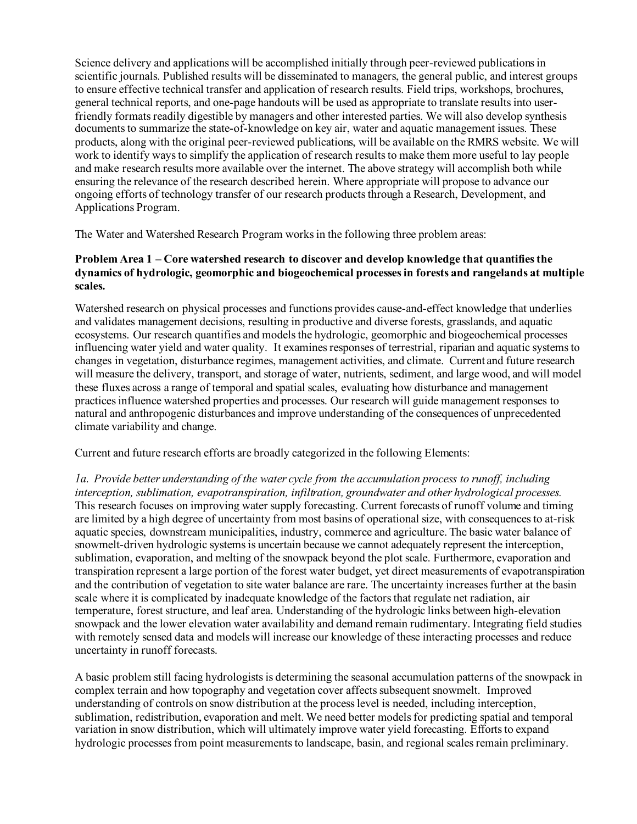Science delivery and applications will be accomplished initially through peer-reviewed publications in scientific journals. Published results will be disseminated to managers, the general public, and interest groups to ensure effective technical transfer and application of research results. Field trips, workshops, brochures, general technical reports, and one-page handouts will be used as appropriate to translate results into userfriendly formats readily digestible by managers and other interested parties. We will also develop synthesis documents to summarize the state-of-knowledge on key air, water and aquatic management issues. These products, along with the original peer-reviewed publications, will be available on the RMRS website. We will work to identify ways to simplify the application of research results to make them more useful to lay people and make research results more available over the internet. The above strategy will accomplish both while ensuring the relevance of the research described herein. Where appropriate will propose to advance our ongoing efforts of technology transfer of our research products through a Research, Development, and Applications Program.

The Water and Watershed Research Program works in the following three problem areas:

# **Problem Area 1 – Core watershed research to discover and develop knowledge that quantifies the dynamics of hydrologic, geomorphic and biogeochemical processes in forests and rangelands at multiple scales.**

Watershed research on physical processes and functions provides cause-and-effect knowledge that underlies and validates management decisions, resulting in productive and diverse forests, grasslands, and aquatic ecosystems. Our research quantifies and models the hydrologic, geomorphic and biogeochemical processes influencing water yield and water quality. It examines responses of terrestrial, riparian and aquatic systems to changes in vegetation, disturbance regimes, management activities, and climate. Current and future research will measure the delivery, transport, and storage of water, nutrients, sediment, and large wood, and will model these fluxes across a range of temporal and spatial scales, evaluating how disturbance and management practices influence watershed properties and processes. Our research will guide management responses to natural and anthropogenic disturbances and improve understanding of the consequences of unprecedented climate variability and change.

Current and future research efforts are broadly categorized in the following Elements:

*1a. Provide better understanding of the water cycle from the accumulation process to runoff, including interception, sublimation, evapotranspiration, infiltration, groundwater and other hydrological processes.*  This research focuses on improving water supply forecasting. Current forecasts of runoff volume and timing are limited by a high degree of uncertainty from most basins of operational size, with consequences to at-risk aquatic species, downstream municipalities, industry, commerce and agriculture. The basic water balance of snowmelt-driven hydrologic systems is uncertain because we cannot adequately represent the interception, sublimation, evaporation, and melting of the snowpack beyond the plot scale. Furthermore, evaporation and transpiration represent a large portion of the forest water budget, yet direct measurements of evapotranspiration and the contribution of vegetation to site water balance are rare. The uncertainty increases further at the basin scale where it is complicated by inadequate knowledge of the factors that regulate net radiation, air temperature, forest structure, and leaf area. Understanding of the hydrologic links between high-elevation snowpack and the lower elevation water availability and demand remain rudimentary. Integrating field studies with remotely sensed data and models will increase our knowledge of these interacting processes and reduce uncertainty in runoff forecasts.

A basic problem still facing hydrologists is determining the seasonal accumulation patterns of the snowpack in complex terrain and how topography and vegetation cover affects subsequent snowmelt. Improved understanding of controls on snow distribution at the process level is needed, including interception, sublimation, redistribution, evaporation and melt. We need better models for predicting spatial and temporal variation in snow distribution, which will ultimately improve water yield forecasting. Efforts to expand hydrologic processes from point measurements to landscape, basin, and regional scales remain preliminary.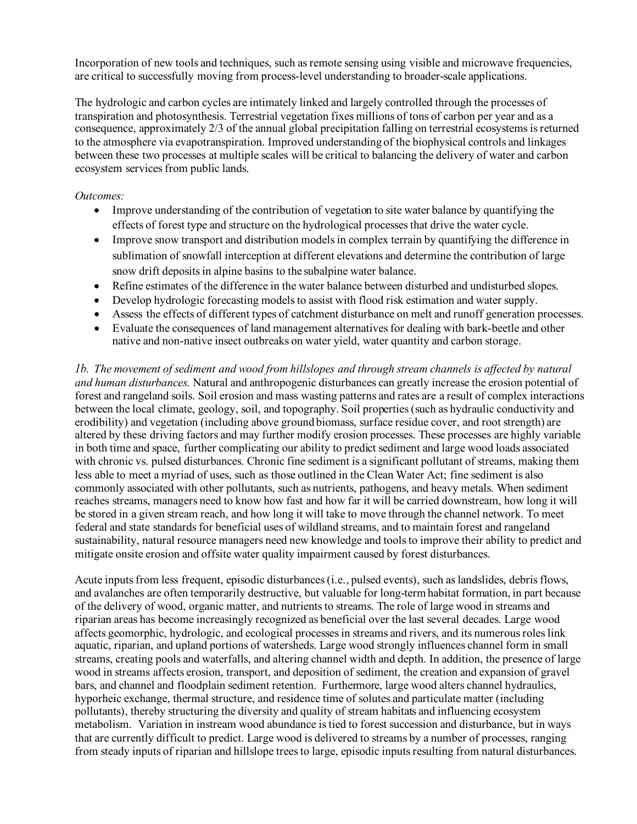Incorporation of new tools and techniques, such as remote sensing using visible and microwave frequencies, are critical to successfully moving from process-level understanding to broader-scale applications.

The hydrologic and carbon cycles are intimately linked and largely controlled through the processes of transpiration and photosynthesis. Terrestrial vegetation fixes millions of tons of carbon per year and as a consequence, approximately 2/3 of the annual global precipitation falling on terrestrial ecosystems is returned to the atmosphere via evapotranspiration. Improved understanding of the biophysical controls and linkages between these two processes at multiple scales will be critical to balancing the delivery of water and carbon ecosystem services from public lands.

#### *Outcomes:*

- Improve understanding of the contribution of vegetation to site water balance by quantifying the effects of forest type and structure on the hydrological processes that drive the water cycle.
- Improve snow transport and distribution models in complex terrain by quantifying the difference in sublimation of snowfall interception at different elevations and determine the contribution of large snow drift deposits in alpine basins to the subalpine water balance.
- Refine estimates of the difference in the water balance between disturbed and undisturbed slopes.
- Develop hydrologic forecasting models to assist with flood risk estimation and water supply.
- Assess the effects of different types of catchment disturbance on melt and runoff generation processes.
- Evaluate the consequences of land management alternatives for dealing with bark-beetle and other native and non-native insect outbreaks on water yield, water quantity and carbon storage.

*1b. The movement of sediment and wood from hillslopes and through stream channels is affected by natural and human disturbances.* Natural and anthropogenic disturbances can greatly increase the erosion potential of forest and rangeland soils. Soil erosion and mass wasting patterns and rates are a result of complex interactions between the local climate, geology, soil, and topography. Soil properties (such as hydraulic conductivity and erodibility) and vegetation (including above ground biomass, surface residue cover, and root strength) are altered by these driving factors and may further modify erosion processes. These processes are highly variable in both time and space, further complicating our ability to predict sediment and large wood loads associated with chronic vs. pulsed disturbances. Chronic fine sediment is a significant pollutant of streams, making them less able to meet a myriad of uses, such as those outlined in the Clean Water Act; fine sediment is also commonly associated with other pollutants, such as nutrients, pathogens, and heavy metals. When sediment reaches streams, managers need to know how fast and how far it will be carried downstream, how long it will be stored in a given stream reach, and how long it will take to move through the channel network. To meet federal and state standards for beneficial uses of wildland streams, and to maintain forest and rangeland sustainability, natural resource managers need new knowledge and tools to improve their ability to predict and mitigate onsite erosion and offsite water quality impairment caused by forest disturbances.

Acute inputs from less frequent, episodic disturbances (i.e., pulsed events), such as landslides, debris flows, and avalanches are often temporarily destructive, but valuable for long-term habitat formation, in part because of the delivery of wood, organic matter, and nutrients to streams. The role of large wood in streams and riparian areas has become increasingly recognized as beneficial over the last several decades. Large wood affects geomorphic, hydrologic, and ecological processes in streams and rivers, and its numerous roles link aquatic, riparian, and upland portions of watersheds. Large wood strongly influences channel form in small streams, creating pools and waterfalls, and altering channel width and depth. In addition, the presence of large wood in streams affects erosion, transport, and deposition of sediment, the creation and expansion of gravel bars, and channel and floodplain sediment retention. Furthermore, large wood alters channel hydraulics, hyporheic exchange, thermal structure, and residence time of solutes and particulate matter (including pollutants), thereby structuring the diversity and quality of stream habitats and influencing ecosystem metabolism. Variation in instream wood abundance is tied to forest succession and disturbance, but in ways that are currently difficult to predict. Large wood is delivered to streams by a number of processes, ranging from steady inputs of riparian and hillslope trees to large, episodic inputs resulting from natural disturbances.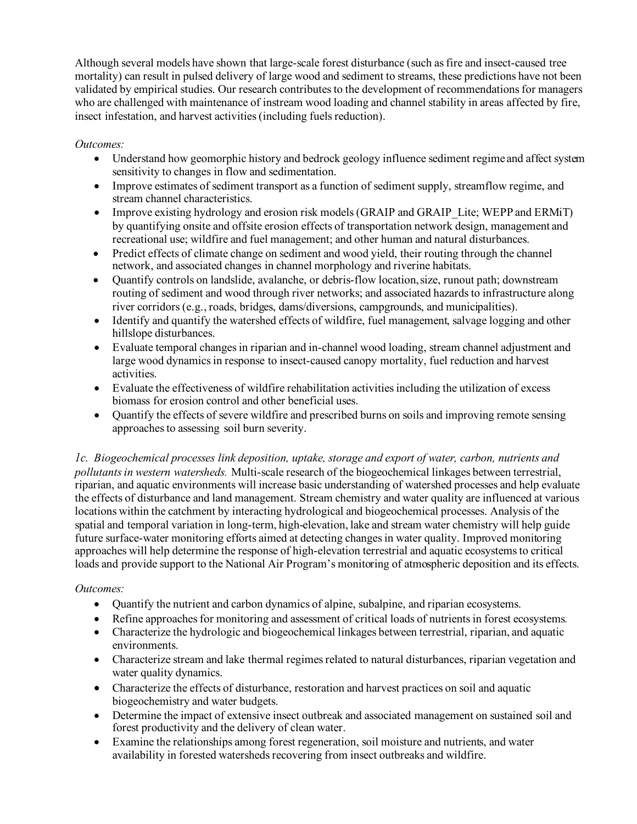Although several models have shown that large-scale forest disturbance (such as fire and insect-caused tree mortality) can result in pulsed delivery of large wood and sediment to streams, these predictions have not been validated by empirical studies. Our research contributes to the development of recommendations for managers who are challenged with maintenance of instream wood loading and channel stability in areas affected by fire, insect infestation, and harvest activities (including fuels reduction).

# *Outcomes:*

- Understand how geomorphic history and bedrock geology influence sediment regime and affect system sensitivity to changes in flow and sedimentation.
- Improve estimates of sediment transport as a function of sediment supply, streamflow regime, and stream channel characteristics.
- Improve existing hydrology and erosion risk models (GRAIP and GRAIP Lite; WEPP and ERMiT) by quantifying onsite and offsite erosion effects of transportation network design, management and recreational use; wildfire and fuel management; and other human and natural disturbances.
- Predict effects of climate change on sediment and wood yield, their routing through the channel network, and associated changes in channel morphology and riverine habitats.
- Quantify controls on landslide, avalanche, or debris-flow location, size, runout path; downstream routing of sediment and wood through river networks; and associated hazards to infrastructure along river corridors (e.g., roads, bridges, dams/diversions, campgrounds, and municipalities).
- Identify and quantify the watershed effects of wildfire, fuel management, salvage logging and other hillslope disturbances.
- Evaluate temporal changes in riparian and in-channel wood loading, stream channel adjustment and large wood dynamics in response to insect-caused canopy mortality, fuel reduction and harvest activities.
- Evaluate the effectiveness of wildfire rehabilitation activities including the utilization of excess biomass for erosion control and other beneficial uses.
- Quantify the effects of severe wildfire and prescribed burns on soils and improving remote sensing approaches to assessing soil burn severity.

*1c. Biogeochemical processes link deposition, uptake, storage and export of water, carbon, nutrients and pollutants in western watersheds.* Multi-scale research of the biogeochemical linkages between terrestrial, riparian, and aquatic environments will increase basic understanding of watershed processes and help evaluate the effects of disturbance and land management. Stream chemistry and water quality are influenced at various locations within the catchment by interacting hydrological and biogeochemical processes. Analysis of the spatial and temporal variation in long-term, high-elevation, lake and stream water chemistry will help guide future surface-water monitoring efforts aimed at detecting changes in water quality. Improved monitoring approaches will help determine the response of high-elevation terrestrial and aquatic ecosystems to critical loads and provide support to the National Air Program's monitoring of atmospheric deposition and its effects.

- Quantify the nutrient and carbon dynamics of alpine, subalpine, and riparian ecosystems.
- Refine approaches for monitoring and assessment of critical loads of nutrients in forest ecosystems*.*
- Characterize the hydrologic and biogeochemical linkages between terrestrial, riparian, and aquatic environments.
- Characterize stream and lake thermal regimes related to natural disturbances, riparian vegetation and water quality dynamics.
- Characterize the effects of disturbance, restoration and harvest practices on soil and aquatic biogeochemistry and water budgets.
- Determine the impact of extensive insect outbreak and associated management on sustained soil and forest productivity and the delivery of clean water.
- Examine the relationships among forest regeneration, soil moisture and nutrients, and water availability in forested watersheds recovering from insect outbreaks and wildfire.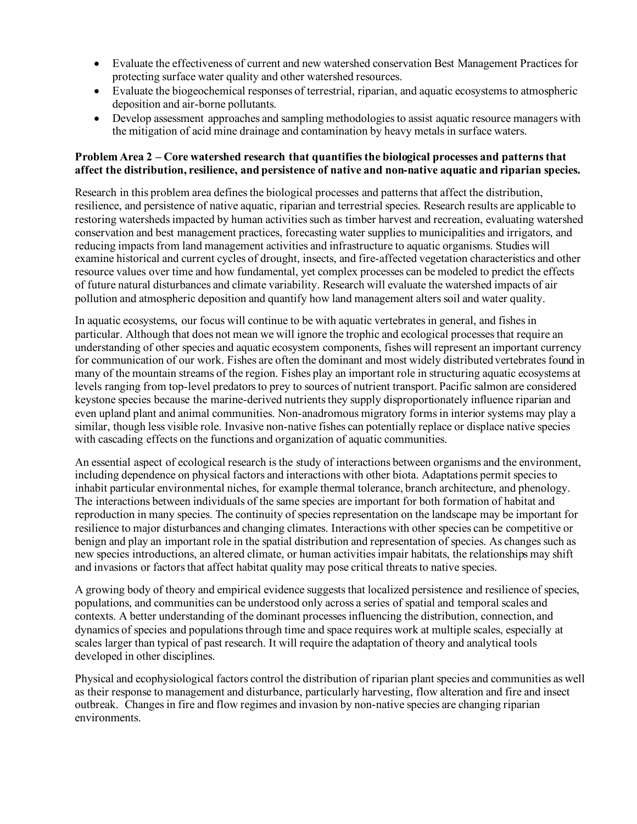- Evaluate the effectiveness of current and new watershed conservation Best Management Practices for protecting surface water quality and other watershed resources.
- Evaluate the biogeochemical responses of terrestrial, riparian, and aquatic ecosystems to atmospheric deposition and air-borne pollutants.
- Develop assessment approaches and sampling methodologies to assist aquatic resource managers with the mitigation of acid mine drainage and contamination by heavy metals in surface waters.

#### **Problem Area 2 – Core watershed research that quantifies the biological processes and patterns that affect the distribution, resilience, and persistence of native and non-native aquatic and riparian species.**

Research in this problem area defines the biological processes and patterns that affect the distribution, resilience, and persistence of native aquatic, riparian and terrestrial species. Research results are applicable to restoring watersheds impacted by human activities such as timber harvest and recreation, evaluating watershed conservation and best management practices, forecasting water supplies to municipalities and irrigators, and reducing impacts from land management activities and infrastructure to aquatic organisms. Studies will examine historical and current cycles of drought, insects, and fire-affected vegetation characteristics and other resource values over time and how fundamental, yet complex processes can be modeled to predict the effects of future natural disturbances and climate variability. Research will evaluate the watershed impacts of air pollution and atmospheric deposition and quantify how land management alters soil and water quality.

In aquatic ecosystems, our focus will continue to be with aquatic vertebrates in general, and fishes in particular. Although that does not mean we will ignore the trophic and ecological processes that require an understanding of other species and aquatic ecosystem components, fishes will represent an important currency for communication of our work. Fishes are often the dominant and most widely distributed vertebrates found in many of the mountain streams of the region. Fishes play an important role in structuring aquatic ecosystems at levels ranging from top-level predators to prey to sources of nutrient transport. Pacific salmon are considered keystone species because the marine-derived nutrients they supply disproportionately influence riparian and even upland plant and animal communities. Non-anadromous migratory forms in interior systems may play a similar, though less visible role. Invasive non-native fishes can potentially replace or displace native species with cascading effects on the functions and organization of aquatic communities.

An essential aspect of ecological research is the study of interactions between organisms and the environment, including dependence on physical factors and interactions with other biota. Adaptations permit speciesto inhabit particular environmental niches, for example thermal tolerance, branch architecture, and phenology. The interactions between individuals of the same species are important for both formation of habitat and reproduction in many species. The continuity of species representation on the landscape may be important for resilience to major disturbances and changing climates. Interactions with other species can be competitive or benign and play an important role in the spatial distribution and representation of species. As changes such as new species introductions, an altered climate, or human activities impair habitats, the relationships may shift and invasions or factors that affect habitat quality may pose critical threats to native species.

A growing body of theory and empirical evidence suggests that localized persistence and resilience of species, populations, and communities can be understood only across a series of spatial and temporal scales and contexts. A better understanding of the dominant processes influencing the distribution, connection, and dynamics of species and populations through time and space requires work at multiple scales, especially at scales larger than typical of past research. It will require the adaptation of theory and analytical tools developed in other disciplines.

Physical and ecophysiological factors control the distribution of riparian plant species and communities as well as their response to management and disturbance, particularly harvesting, flow alteration and fire and insect outbreak. Changes in fire and flow regimes and invasion by non-native species are changing riparian environments.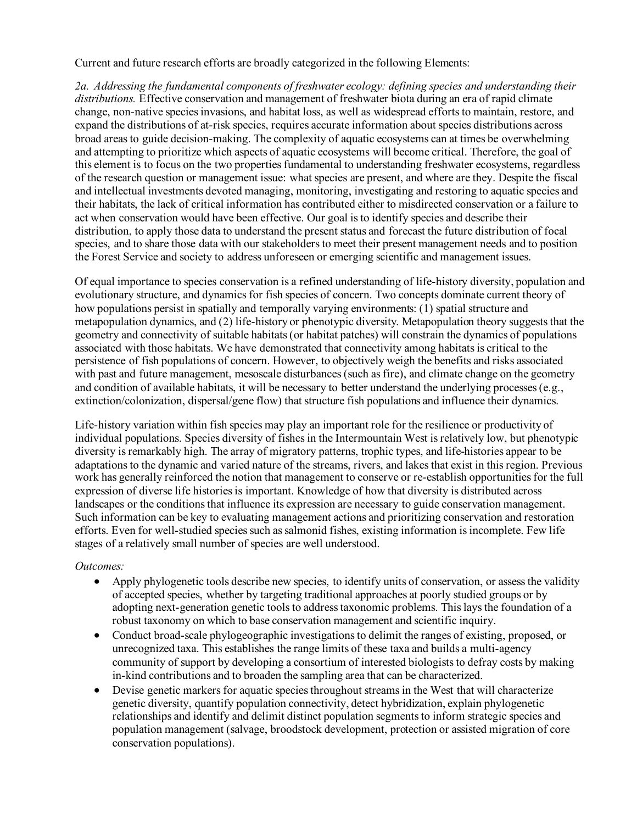Current and future research efforts are broadly categorized in the following Elements:

*2a. Addressing the fundamental components of freshwater ecology: defining species and understanding their distributions.* Effective conservation and management of freshwater biota during an era of rapid climate change, non-native species invasions, and habitat loss, as well as widespread efforts to maintain, restore, and expand the distributions of at-risk species, requires accurate information about species distributions across broad areas to guide decision-making. The complexity of aquatic ecosystems can at times be overwhelming and attempting to prioritize which aspects of aquatic ecosystems will become critical. Therefore, the goal of this element is to focus on the two properties fundamental to understanding freshwater ecosystems, regardless of the research question or management issue: what species are present, and where are they. Despite the fiscal and intellectual investments devoted managing, monitoring, investigating and restoring to aquatic species and their habitats, the lack of critical information has contributed either to misdirected conservation or a failure to act when conservation would have been effective. Our goal is to identify species and describe their distribution, to apply those data to understand the present status and forecast the future distribution of focal species, and to share those data with our stakeholders to meet their present management needs and to position the Forest Service and society to address unforeseen or emerging scientific and management issues.

Of equal importance to species conservation is a refined understanding of life-history diversity, population and evolutionary structure, and dynamics for fish species of concern. Two concepts dominate current theory of how populations persist in spatially and temporally varying environments: (1) spatial structure and metapopulation dynamics, and (2) life-history or phenotypic diversity. Metapopulation theory suggests that the geometry and connectivity of suitable habitats (or habitat patches) will constrain the dynamics of populations associated with those habitats. We have demonstrated that connectivity among habitats is critical to the persistence of fish populations of concern. However, to objectively weigh the benefits and risks associated with past and future management, mesoscale disturbances (such as fire), and climate change on the geometry and condition of available habitats, it will be necessary to better understand the underlying processes (e.g., extinction/colonization, dispersal/gene flow) that structure fish populations and influence their dynamics.

Life-history variation within fish species may play an important role for the resilience or productivity of individual populations. Species diversity of fishes in the Intermountain West is relatively low, but phenotypic diversity is remarkably high. The array of migratory patterns, trophic types, and life-histories appear to be adaptations to the dynamic and varied nature of the streams, rivers, and lakes that exist in this region. Previous work has generally reinforced the notion that management to conserve or re-establish opportunities for the full expression of diverse life histories is important. Knowledge of how that diversity is distributed across landscapes or the conditions that influence its expression are necessary to guide conservation management. Such information can be key to evaluating management actions and prioritizing conservation and restoration efforts. Even for well-studied species such as salmonid fishes, existing information is incomplete. Few life stages of a relatively small number of species are well understood.

- Apply phylogenetic tools describe new species, to identify units of conservation, or assess the validity of accepted species, whether by targeting traditional approaches at poorly studied groups or by adopting next-generation genetic tools to address taxonomic problems. This lays the foundation of a robust taxonomy on which to base conservation management and scientific inquiry.
- Conduct broad-scale phylogeographic investigations to delimit the ranges of existing, proposed, or unrecognized taxa. This establishes the range limits of these taxa and builds a multi-agency community of support by developing a consortium of interested biologists to defray costs by making in-kind contributions and to broaden the sampling area that can be characterized.
- Devise genetic markers for aquatic speciesthroughout streams in the West that will characterize genetic diversity, quantify population connectivity, detect hybridization, explain phylogenetic relationships and identify and delimit distinct population segments to inform strategic species and population management (salvage, broodstock development, protection or assisted migration of core conservation populations).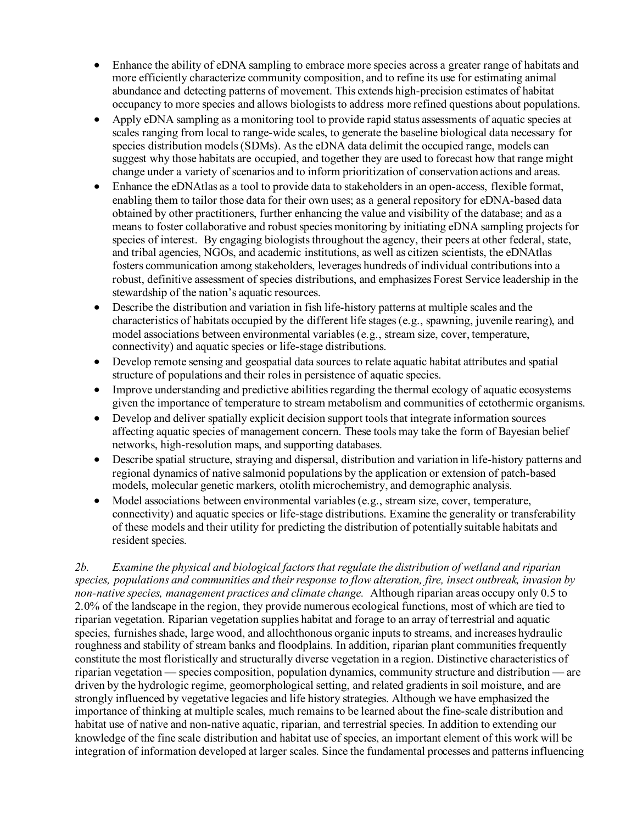- Enhance the ability of eDNA sampling to embrace more species across a greater range of habitats and more efficiently characterize community composition, and to refine its use for estimating animal abundance and detecting patterns of movement. This extends high-precision estimates of habitat occupancy to more species and allows biologists to address more refined questions about populations.
- Apply eDNA sampling as a monitoring tool to provide rapid status assessments of aquatic species at scales ranging from local to range-wide scales, to generate the baseline biological data necessary for species distribution models (SDMs). As the eDNA data delimit the occupied range, models can suggest why those habitats are occupied, and together they are used to forecast how that range might change under a variety of scenarios and to inform prioritization of conservation actions and areas.
- Enhance the eDNAtlas as a tool to provide data to stakeholders in an open-access, flexible format, enabling them to tailor those data for their own uses; as a general repository for eDNA-based data obtained by other practitioners, further enhancing the value and visibility of the database; and as a means to foster collaborative and robust species monitoring by initiating eDNA sampling projects for species of interest. By engaging biologists throughout the agency, their peers at other federal, state, and tribal agencies, NGOs, and academic institutions, as well as citizen scientists, the eDNAtlas fosters communication among stakeholders, leverages hundreds of individual contributions into a robust, definitive assessment of species distributions, and emphasizes Forest Service leadership in the stewardship of the nation's aquatic resources.
- Describe the distribution and variation in fish life-history patterns at multiple scales and the characteristics of habitats occupied by the different life stages (e.g., spawning, juvenile rearing), and model associations between environmental variables (e.g., stream size, cover, temperature, connectivity) and aquatic species or life-stage distributions.
- Develop remote sensing and geospatial data sources to relate aquatic habitat attributes and spatial structure of populations and their roles in persistence of aquatic species.
- Improve understanding and predictive abilities regarding the thermal ecology of aquatic ecosystems given the importance of temperature to stream metabolism and communities of ectothermic organisms.
- Develop and deliver spatially explicit decision support tools that integrate information sources affecting aquatic species of management concern. These tools may take the form of Bayesian belief networks, high-resolution maps, and supporting databases.
- Describe spatial structure, straying and dispersal, distribution and variation in life-history patterns and regional dynamics of native salmonid populations by the application or extension of patch-based models, molecular genetic markers, otolith microchemistry, and demographic analysis.
- Model associations between environmental variables (e.g., stream size, cover, temperature, connectivity) and aquatic species or life-stage distributions. Examine the generality or transferability of these models and their utility for predicting the distribution of potentially suitable habitats and resident species.

*2b. Examine the physical and biological factors that regulate the distribution of wetland and riparian species, populations and communities and their response to flow alteration, fire, insect outbreak, invasion by non-native species, management practices and climate change.* Although riparian areas occupy only 0.5 to 2.0% of the landscape in the region, they provide numerous ecological functions, most of which are tied to riparian vegetation. Riparian vegetation supplies habitat and forage to an array of terrestrial and aquatic species, furnishes shade, large wood, and allochthonous organic inputs to streams, and increases hydraulic roughness and stability of stream banks and floodplains. In addition, riparian plant communities frequently constitute the most floristically and structurally diverse vegetation in a region. Distinctive characteristics of riparian vegetation — species composition, population dynamics, community structure and distribution — are driven by the hydrologic regime, geomorphological setting, and related gradients in soil moisture, and are strongly influenced by vegetative legacies and life history strategies. Although we have emphasized the importance of thinking at multiple scales, much remains to be learned about the fine-scale distribution and habitat use of native and non-native aquatic, riparian, and terrestrial species. In addition to extending our knowledge of the fine scale distribution and habitat use of species, an important element of this work will be integration of information developed at larger scales. Since the fundamental processes and patterns influencing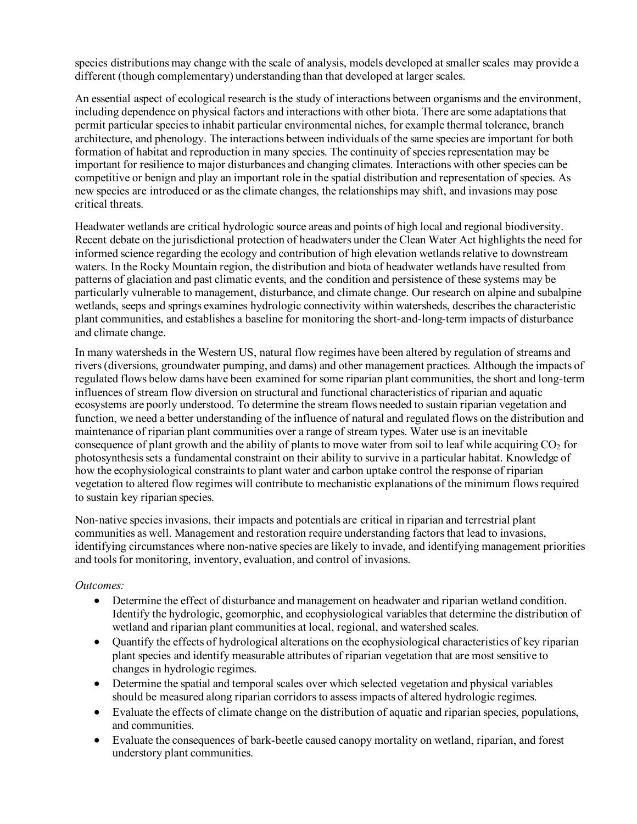species distributions may change with the scale of analysis, models developed at smaller scales may provide a different (though complementary) understanding than that developed at larger scales.

An essential aspect of ecological research is the study of interactions between organisms and the environment, including dependence on physical factors and interactions with other biota. There are some adaptations that permit particular species to inhabit particular environmental niches, for example thermal tolerance, branch architecture, and phenology. The interactions between individuals of the same species are important for both formation of habitat and reproduction in many species. The continuity of species representation may be important for resilience to major disturbances and changing climates. Interactions with other species can be competitive or benign and play an important role in the spatial distribution and representation of species. As new species are introduced or as the climate changes, the relationships may shift, and invasions may pose critical threats.

Headwater wetlands are critical hydrologic source areas and points of high local and regional biodiversity. Recent debate on the jurisdictional protection of headwaters under the Clean Water Act highlights the need for informed science regarding the ecology and contribution of high elevation wetlands relative to downstream waters. In the Rocky Mountain region, the distribution and biota of headwater wetlands have resulted from patterns of glaciation and past climatic events, and the condition and persistence of these systems may be particularly vulnerable to management, disturbance, and climate change. Our research on alpine and subalpine wetlands, seeps and springs examines hydrologic connectivity within watersheds, describes the characteristic plant communities, and establishes a baseline for monitoring the short-and-long-term impacts of disturbance and climate change.

In many watersheds in the Western US, natural flow regimes have been altered by regulation of streams and rivers (diversions, groundwater pumping, and dams) and other management practices. Although the impacts of regulated flows below dams have been examined for some riparian plant communities, the short and long-term influences of stream flow diversion on structural and functional characteristics of riparian and aquatic ecosystems are poorly understood. To determine the stream flows needed to sustain riparian vegetation and function, we need a better understanding of the influence of natural and regulated flows on the distribution and maintenance of riparian plant communities over a range of stream types. Water use is an inevitable consequence of plant growth and the ability of plants to move water from soil to leaf while acquiring CO2 for photosynthesis sets a fundamental constraint on their ability to survive in a particular habitat. Knowledge of how the ecophysiological constraints to plant water and carbon uptake control the response of riparian vegetation to altered flow regimes will contribute to mechanistic explanations of the minimum flows required to sustain key riparian species.

Non-native species invasions, their impacts and potentials are critical in riparian and terrestrial plant communities as well. Management and restoration require understanding factors that lead to invasions, identifying circumstances where non-native species are likely to invade, and identifying management priorities and tools for monitoring, inventory, evaluation, and control of invasions.

- Determine the effect of disturbance and management on headwater and riparian wetland condition. Identify the hydrologic, geomorphic, and ecophysiological variables that determine the distribution of wetland and riparian plant communities at local, regional, and watershed scales.
- Quantify the effects of hydrological alterations on the ecophysiological characteristics of key riparian plant species and identify measurable attributes of riparian vegetation that are most sensitive to changes in hydrologic regimes.
- Determine the spatial and temporal scales over which selected vegetation and physical variables should be measured along riparian corridors to assess impacts of altered hydrologic regimes.
- Evaluate the effects of climate change on the distribution of aquatic and riparian species, populations, and communities.
- Evaluate the consequences of bark-beetle caused canopy mortality on wetland, riparian, and forest understory plant communities.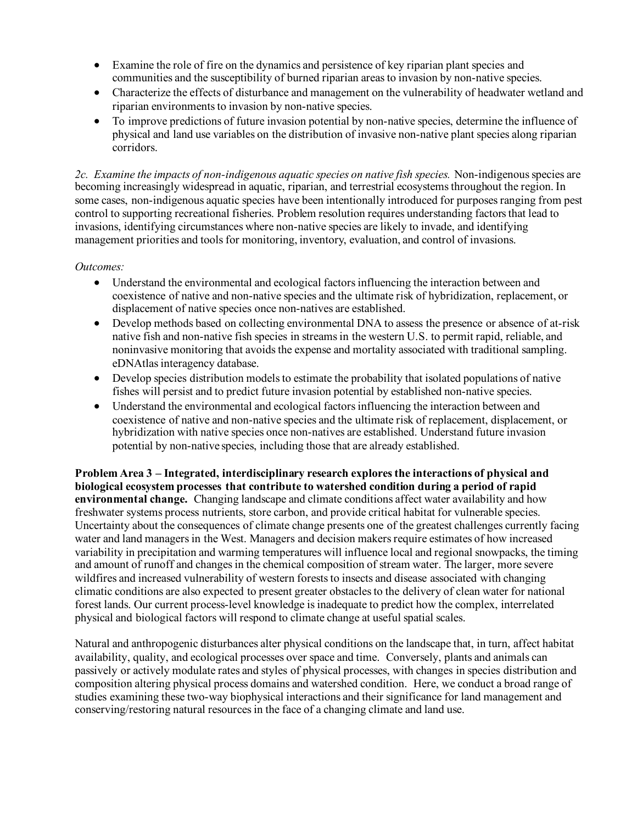- Examine the role of fire on the dynamics and persistence of key riparian plant species and communities and the susceptibility of burned riparian areas to invasion by non-native species.
- Characterize the effects of disturbance and management on the vulnerability of headwater wetland and riparian environments to invasion by non-native species.
- To improve predictions of future invasion potential by non-native species, determine the influence of physical and land use variables on the distribution of invasive non-native plant species along riparian corridors.

*2c. Examine the impacts of non-indigenous aquatic species on native fish species.* Non-indigenous species are becoming increasingly widespread in aquatic, riparian, and terrestrial ecosystems throughout the region. In some cases, non-indigenous aquatic species have been intentionally introduced for purposes ranging from pest control to supporting recreational fisheries. Problem resolution requires understanding factors that lead to invasions, identifying circumstances where non-native species are likely to invade, and identifying management priorities and tools for monitoring, inventory, evaluation, and control of invasions.

#### *Outcomes:*

- Understand the environmental and ecological factors influencing the interaction between and coexistence of native and non-native species and the ultimate risk of hybridization, replacement, or displacement of native species once non-natives are established.
- Develop methods based on collecting environmental DNA to assess the presence or absence of at-risk native fish and non-native fish species in streams in the western U.S. to permit rapid, reliable, and noninvasive monitoring that avoids the expense and mortality associated with traditional sampling. eDNAtlas interagency database.
- Develop species distribution models to estimate the probability that isolated populations of native fishes will persist and to predict future invasion potential by established non-native species.
- Understand the environmental and ecological factors influencing the interaction between and coexistence of native and non-native species and the ultimate risk of replacement, displacement, or hybridization with native species once non-natives are established. Understand future invasion potential by non-native species, including those that are already established.

**Problem Area 3 – Integrated, interdisciplinary research explores the interactions of physical and biological ecosystem processes that contribute to watershed condition during a period of rapid environmental change.** Changing landscape and climate conditions affect water availability and how freshwater systems process nutrients, store carbon, and provide critical habitat for vulnerable species. Uncertainty about the consequences of climate change presents one of the greatest challenges currently facing water and land managers in the West. Managers and decision makers require estimates of how increased variability in precipitation and warming temperatures will influence local and regional snowpacks, the timing and amount of runoff and changes in the chemical composition of stream water. The larger, more severe wildfires and increased vulnerability of western forests to insects and disease associated with changing climatic conditions are also expected to present greater obstacles to the delivery of clean water for national forest lands. Our current process-level knowledge is inadequate to predict how the complex, interrelated physical and biological factors will respond to climate change at useful spatial scales.

Natural and anthropogenic disturbances alter physical conditions on the landscape that, in turn, affect habitat availability, quality, and ecological processes over space and time. Conversely, plants and animals can passively or actively modulate rates and styles of physical processes, with changes in species distribution and composition altering physical process domains and watershed condition. Here, we conduct a broad range of studies examining these two-way biophysical interactions and their significance for land management and conserving/restoring natural resources in the face of a changing climate and land use.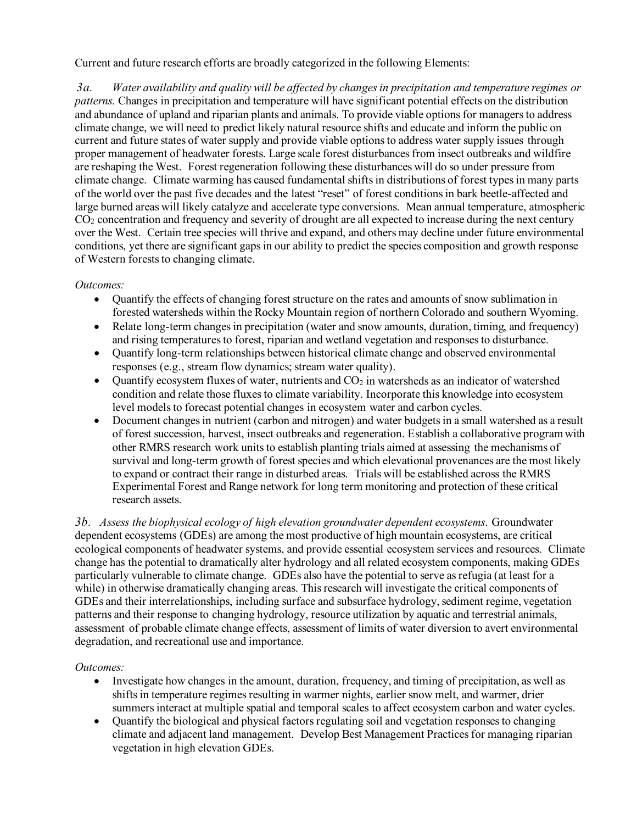Current and future research efforts are broadly categorized in the following Elements:

*3a. Water availability and quality will be affected by changes in precipitation and temperature regimes or patterns.* Changes in precipitation and temperature will have significant potential effects on the distribution and abundance of upland and riparian plants and animals. To provide viable options for managers to address climate change, we will need to predict likely natural resource shifts and educate and inform the public on current and future states of water supply and provide viable options to address water supply issues through proper management of headwater forests. Large scale forest disturbances from insect outbreaks and wildfire are reshaping the West. Forest regeneration following these disturbances will do so under pressure from climate change. Climate warming has caused fundamental shifts in distributions of forest types in many parts of the world over the past five decades and the latest "reset" of forest conditions in bark beetle-affected and large burned areas will likely catalyze and accelerate type conversions. Mean annual temperature, atmospheric CO2 concentration and frequency and severity of drought are all expected to increase during the next century over the West. Certain tree species will thrive and expand, and others may decline under future environmental conditions, yet there are significant gaps in our ability to predict the species composition and growth response of Western forests to changing climate.

# *Outcomes:*

- Quantify the effects of changing forest structure on the rates and amounts of snow sublimation in forested watersheds within the Rocky Mountain region of northern Colorado and southern Wyoming.
- Relate long-term changes in precipitation (water and snow amounts, duration, timing, and frequency) and rising temperatures to forest, riparian and wetland vegetation and responses to disturbance.
- Quantify long-term relationships between historical climate change and observed environmental responses (e.g., stream flow dynamics; stream water quality).
- Quantify ecosystem fluxes of water, nutrients and  $CO<sub>2</sub>$  in watersheds as an indicator of watershed condition and relate those fluxes to climate variability. Incorporate this knowledge into ecosystem level models to forecast potential changes in ecosystem water and carbon cycles.
- Document changes in nutrient (carbon and nitrogen) and water budgets in a small watershed as a result of forest succession, harvest, insect outbreaks and regeneration. Establish a collaborative program with other RMRS research work units to establish planting trials aimed at assessing the mechanisms of survival and long-term growth of forest species and which elevational provenances are the most likely to expand or contract their range in disturbed areas. Trials will be established across the RMRS Experimental Forest and Range network for long term monitoring and protection of these critical research assets.

*3b. Assess the biophysical ecology of high elevation groundwater dependent ecosystems*. Groundwater dependent ecosystems (GDEs) are among the most productive of high mountain ecosystems, are critical ecological components of headwater systems, and provide essential ecosystem services and resources. Climate change has the potential to dramatically alter hydrology and all related ecosystem components, making GDEs particularly vulnerable to climate change. GDEs also have the potential to serve as refugia (at least for a while) in otherwise dramatically changing areas. This research will investigate the critical components of GDEs and their interrelationships, including surface and subsurface hydrology, sediment regime, vegetation patterns and their response to changing hydrology, resource utilization by aquatic and terrestrial animals, assessment of probable climate change effects, assessment of limits of water diversion to avert environmental degradation, and recreational use and importance.

- Investigate how changes in the amount, duration, frequency, and timing of precipitation, as well as shifts in temperature regimes resulting in warmer nights, earlier snow melt, and warmer, drier summers interact at multiple spatial and temporal scales to affect ecosystem carbon and water cycles.
- Quantify the biological and physical factors regulating soil and vegetation responses to changing climate and adjacent land management. Develop Best Management Practices for managing riparian vegetation in high elevation GDEs.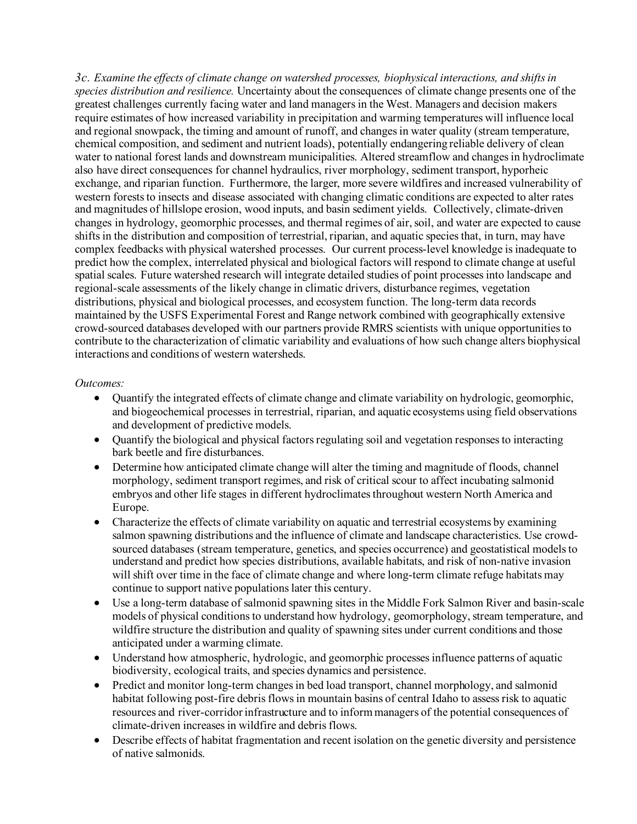*3c. Examine the effects of climate change on watershed processes, biophysical interactions, and shifts in species distribution and resilience.* Uncertainty about the consequences of climate change presents one of the greatest challenges currently facing water and land managers in the West. Managers and decision makers require estimates of how increased variability in precipitation and warming temperatures will influence local and regional snowpack, the timing and amount of runoff, and changes in water quality (stream temperature, chemical composition, and sediment and nutrient loads), potentially endangering reliable delivery of clean water to national forest lands and downstream municipalities. Altered streamflow and changes in hydroclimate also have direct consequences for channel hydraulics, river morphology, sediment transport, hyporheic exchange, and riparian function. Furthermore, the larger, more severe wildfires and increased vulnerability of western forests to insects and disease associated with changing climatic conditions are expected to alter rates and magnitudes of hillslope erosion, wood inputs, and basin sediment yields. Collectively, climate-driven changes in hydrology, geomorphic processes, and thermal regimes of air, soil, and water are expected to cause shifts in the distribution and composition of terrestrial, riparian, and aquatic species that, in turn, may have complex feedbacks with physical watershed processes. Our current process-level knowledge is inadequate to predict how the complex, interrelated physical and biological factors will respond to climate change at useful spatial scales. Future watershed research will integrate detailed studies of point processes into landscape and regional-scale assessments of the likely change in climatic drivers, disturbance regimes, vegetation distributions, physical and biological processes, and ecosystem function. The long-term data records maintained by the USFS Experimental Forest and Range network combined with geographically extensive crowd-sourced databases developed with our partners provide RMRS scientists with unique opportunities to contribute to the characterization of climatic variability and evaluations of how such change alters biophysical interactions and conditions of western watersheds.

- Quantify the integrated effects of climate change and climate variability on hydrologic, geomorphic, and biogeochemical processes in terrestrial, riparian, and aquatic ecosystems using field observations and development of predictive models.
- Quantify the biological and physical factors regulating soil and vegetation responses to interacting bark beetle and fire disturbances.
- Determine how anticipated climate change will alter the timing and magnitude of floods, channel morphology, sediment transport regimes, and risk of critical scour to affect incubating salmonid embryos and other life stages in different hydroclimates throughout western North America and Europe.
- Characterize the effects of climate variability on aquatic and terrestrial ecosystems by examining salmon spawning distributions and the influence of climate and landscape characteristics. Use crowdsourced databases (stream temperature, genetics, and species occurrence) and geostatistical models to understand and predict how species distributions, available habitats, and risk of non-native invasion will shift over time in the face of climate change and where long-term climate refuge habitats may continue to support native populations later this century.
- Use a long-term database of salmonid spawning sites in the Middle Fork Salmon River and basin-scale models of physical conditions to understand how hydrology, geomorphology, stream temperature, and wildfire structure the distribution and quality of spawning sites under current conditions and those anticipated under a warming climate.
- Understand how atmospheric, hydrologic, and geomorphic processes influence patterns of aquatic biodiversity, ecological traits, and species dynamics and persistence.
- Predict and monitor long-term changes in bed load transport, channel morphology, and salmonid habitat following post-fire debris flows in mountain basins of central Idaho to assess risk to aquatic resources and river-corridor infrastructure and to inform managers of the potential consequences of climate-driven increases in wildfire and debris flows.
- Describe effects of habitat fragmentation and recent isolation on the genetic diversity and persistence of native salmonids.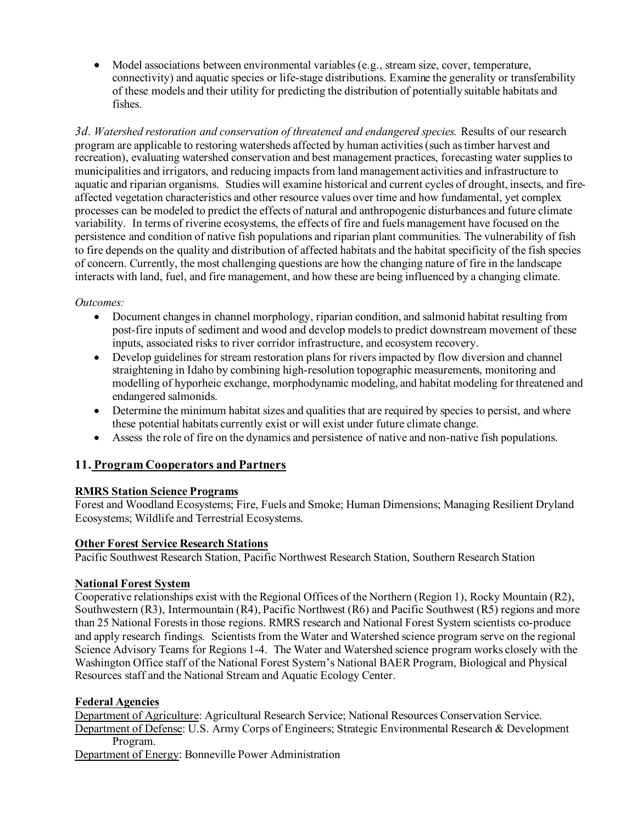• Model associations between environmental variables (e.g., stream size, cover, temperature, connectivity) and aquatic species or life-stage distributions. Examine the generality or transferability of these models and their utility for predicting the distribution of potentially suitable habitats and fishes.

*3d. Watershed restoration and conservation of threatened and endangered species.* Results of our research program are applicable to restoring watersheds affected by human activities (such as timber harvest and recreation), evaluating watershed conservation and best management practices, forecasting water supplies to municipalities and irrigators, and reducing impacts from land management activities and infrastructure to aquatic and riparian organisms. Studies will examine historical and current cycles of drought, insects, and fireaffected vegetation characteristics and other resource values over time and how fundamental, yet complex processes can be modeled to predict the effects of natural and anthropogenic disturbances and future climate variability. In terms of riverine ecosystems, the effects of fire and fuels management have focused on the persistence and condition of native fish populations and riparian plant communities. The vulnerability of fish to fire depends on the quality and distribution of affected habitats and the habitat specificity of the fish species of concern. Currently, the most challenging questions are how the changing nature of fire in the landscape interacts with land, fuel, and fire management, and how these are being influenced by a changing climate.

#### *Outcomes:*

- Document changes in channel morphology, riparian condition, and salmonid habitat resulting from post-fire inputs of sediment and wood and develop models to predict downstream movement of these inputs, associated risks to river corridor infrastructure, and ecosystem recovery.
- Develop guidelines for stream restoration plans for rivers impacted by flow diversion and channel straightening in Idaho by combining high-resolution topographic measurements, monitoring and modelling of hyporheic exchange, morphodynamic modeling, and habitat modeling for threatened and endangered salmonids.
- Determine the minimum habitat sizes and qualities that are required by species to persist, and where these potential habitats currently exist or will exist under future climate change.
- Assess the role of fire on the dynamics and persistence of native and non-native fish populations.

# **11. Program Cooperators and Partners**

#### **RMRS Station Science Programs**

Forest and Woodland Ecosystems; Fire, Fuels and Smoke; Human Dimensions; Managing Resilient Dryland Ecosystems; Wildlife and Terrestrial Ecosystems.

#### **Other Forest Service Research Stations**

Pacific Southwest Research Station, Pacific Northwest Research Station, Southern Research Station

#### **National Forest System**

Cooperative relationships exist with the Regional Offices of the Northern (Region 1), Rocky Mountain (R2), Southwestern (R3), Intermountain (R4), Pacific Northwest (R6) and Pacific Southwest (R5) regions and more than 25 National Forestsin those regions. RMRS research and National Forest System scientists co-produce and apply research findings. Scientists from the Water and Watershed science program serve on the regional Science Advisory Teams for Regions 1-4. The Water and Watershed science program works closely with the Washington Office staff of the National Forest System's National BAER Program, Biological and Physical Resources staff and the National Stream and Aquatic Ecology Center.

#### **Federal Agencies**

Department of Agriculture: Agricultural Research Service; National Resources Conservation Service. Department of Defense: U.S. Army Corps of Engineers; Strategic Environmental Research & Development Program.

Department of Energy: Bonneville Power Administration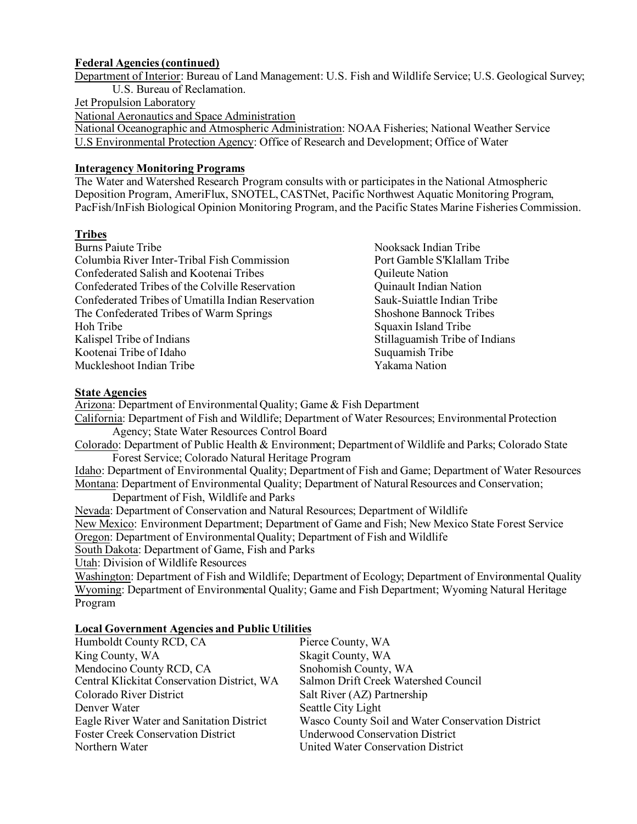#### **Federal Agencies (continued)**

Department of Interior: Bureau of Land Management: U.S. Fish and Wildlife Service; U.S. Geological Survey; U.S. Bureau of Reclamation.

#### Jet Propulsion Laboratory

National Aeronautics and Space Administration

National Oceanographic and Atmospheric Administration: NOAA Fisheries; National Weather Service U.S Environmental Protection Agency: Office of Research and Development; Office of Water

#### **Interagency Monitoring Programs**

The Water and Watershed Research Program consults with or participates in the National Atmospheric Deposition Program, AmeriFlux, SNOTEL, CASTNet, Pacific Northwest Aquatic Monitoring Program, PacFish/InFish Biological Opinion Monitoring Program, and the Pacific States Marine Fisheries Commission.

#### **Tribes**

| <b>Burns Paiute Tribe</b>                          |
|----------------------------------------------------|
| Columbia River Inter-Tribal Fish Commission        |
| Confederated Salish and Kootenai Tribes            |
| Confederated Tribes of the Colville Reservation    |
| Confederated Tribes of Umatilla Indian Reservation |
| The Confederated Tribes of Warm Springs            |
| Hoh Tribe                                          |
| Kalispel Tribe of Indians                          |
| Kootenai Tribe of Idaho                            |
| Muckleshoot Indian Tribe                           |
|                                                    |

Nooksack Indian Tribe Port Gamble S'Klallam Tribe **Ouileute Nation** Quinault Indian Nation Sauk-Suiattle Indian Tribe Shoshone Bannock Tribes Squaxin Island Tribe Stillaguamish Tribe of Indians Suquamish Tribe Yakama Nation

#### **State Agencies**

Arizona: Department of Environmental Quality; Game & Fish Department California: Department of Fish and Wildlife; Department of Water Resources; Environmental Protection Agency; State Water Resources Control Board Colorado: Department of Public Health & Environment; Department of Wildlife and Parks; Colorado State Forest Service; Colorado Natural Heritage Program Idaho: Department of Environmental Quality; Department of Fish and Game; Department of Water Resources Montana: Department of Environmental Quality; Department of Natural Resources and Conservation; Department of Fish, Wildlife and Parks Nevada: Department of Conservation and Natural Resources; Department of Wildlife New Mexico: Environment Department; Department of Game and Fish; New Mexico State Forest Service Oregon: Department of Environmental Quality; Department of Fish and Wildlife South Dakota: Department of Game, Fish and Parks Utah: Division of Wildlife Resources Washington: Department of Fish and Wildlife; Department of Ecology; Department of Environmental Quality Wyoming: Department of Environmental Quality; Game and Fish Department; Wyoming Natural Heritage Program

#### **Local Government Agencies and Public Utilities**

| Humboldt County RCD, CA                     | Pierce County, WA                                 |
|---------------------------------------------|---------------------------------------------------|
| King County, WA                             | Skagit County, WA                                 |
| Mendocino County RCD, CA                    | Snohomish County, WA                              |
| Central Klickitat Conservation District, WA | Salmon Drift Creek Watershed Council              |
| Colorado River District                     | Salt River (AZ) Partnership                       |
| Denver Water                                | Seattle City Light                                |
| Eagle River Water and Sanitation District   | Wasco County Soil and Water Conservation District |
| <b>Foster Creek Conservation District</b>   | <b>Underwood Conservation District</b>            |
| Northern Water                              | United Water Conservation District                |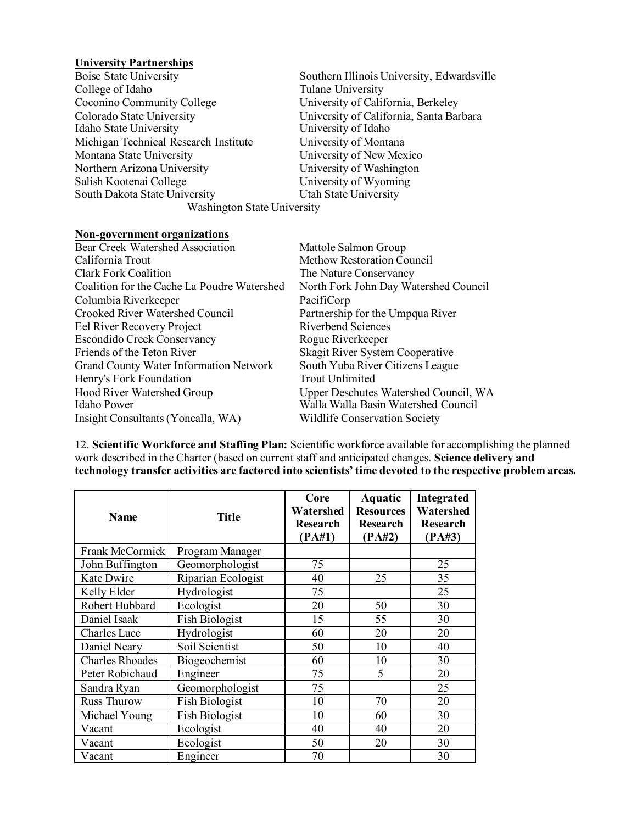# **University Partnerships**

| Boise State University                | Southern Illinois University, Edwardsville |  |  |  |
|---------------------------------------|--------------------------------------------|--|--|--|
| College of Idaho                      | Tulane University                          |  |  |  |
| Coconino Community College            | University of California, Berkeley         |  |  |  |
| Colorado State University             | University of California, Santa Barbara    |  |  |  |
| Idaho State University                | University of Idaho                        |  |  |  |
| Michigan Technical Research Institute | University of Montana                      |  |  |  |
| Montana State University              | University of New Mexico                   |  |  |  |
| Northern Arizona University           | University of Washington                   |  |  |  |
| Salish Kootenai College               | University of Wyoming                      |  |  |  |
| South Dakota State University         | Utah State University                      |  |  |  |
| <b>Washington State University</b>    |                                            |  |  |  |
| Non-government organizations          |                                            |  |  |  |

#### **Non-government organizations**

| <b>Bear Creek Watershed Association</b>     | Mattole Salmon Group                  |
|---------------------------------------------|---------------------------------------|
| California Trout                            | <b>Methow Restoration Council</b>     |
| <b>Clark Fork Coalition</b>                 | The Nature Conservancy                |
| Coalition for the Cache La Poudre Watershed | North Fork John Day Watershed Council |
| Columbia Riverkeeper                        | PacifiCorp                            |
| <b>Crooked River Watershed Council</b>      | Partnership for the Umpqua River      |
| Eel River Recovery Project                  | <b>Riverbend Sciences</b>             |
| <b>Escondido Creek Conservancy</b>          | Rogue Riverkeeper                     |
| Friends of the Teton River                  | Skagit River System Cooperative       |
| Grand County Water Information Network      | South Yuba River Citizens League      |
| Henry's Fork Foundation                     | <b>Trout Unlimited</b>                |
| Hood River Watershed Group                  | Upper Deschutes Watershed Council, WA |
| Idaho Power                                 | Walla Walla Basin Watershed Council   |
| Insight Consultants (Yoncalla, WA)          | <b>Wildlife Conservation Society</b>  |
|                                             |                                       |

12. **Scientific Workforce and Staffing Plan:** Scientific workforce available for accomplishing the planned work described in the Charter (based on current staff and anticipated changes. **Science delivery and technology transfer activities are factored into scientists' time devoted to the respective problem areas.**

| <b>Name</b>            | <b>Title</b>          | Core<br>Watershed<br>Research<br>(PA#1) | Aquatic<br><b>Resources</b><br>Research<br>(PA#2) | Integrated<br>Watershed<br>Research<br>(PA#3) |
|------------------------|-----------------------|-----------------------------------------|---------------------------------------------------|-----------------------------------------------|
| Frank McCormick        | Program Manager       |                                         |                                                   |                                               |
| John Buffington        | Geomorphologist       | 75                                      |                                                   | 25                                            |
| Kate Dwire             | Riparian Ecologist    | 40                                      | 25                                                | 35                                            |
| Kelly Elder            | Hydrologist           | 75                                      |                                                   | 25                                            |
| Robert Hubbard         | Ecologist             | 20                                      | 50                                                | 30                                            |
| Daniel Isaak           | <b>Fish Biologist</b> | 15                                      | 55                                                | 30                                            |
| <b>Charles</b> Luce    | Hydrologist           | 60                                      | 20                                                | 20                                            |
| Daniel Neary           | Soil Scientist        | 50                                      | 10                                                | 40                                            |
| <b>Charles Rhoades</b> | Biogeochemist         | 60                                      | 10                                                | 30                                            |
| Peter Robichaud        | Engineer              | 75                                      | 5                                                 | 20                                            |
| Sandra Ryan            | Geomorphologist       | 75                                      |                                                   | 25                                            |
| <b>Russ Thurow</b>     | Fish Biologist        | 10                                      | 70                                                | 20                                            |
| Michael Young          | Fish Biologist        | 10                                      | 60                                                | 30                                            |
| Vacant                 | Ecologist             | 40                                      | 40                                                | 20                                            |
| Vacant                 | Ecologist             | 50                                      | 20                                                | 30                                            |
| Vacant                 | Engineer              | 70                                      |                                                   | 30                                            |